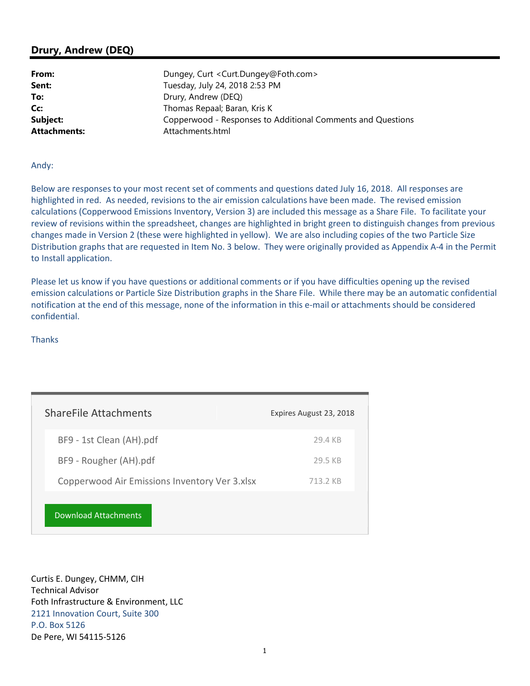## **Drury, Andrew (DEQ)**

| Dungey, Curt < Curt.Dungey@Foth.com>                        |
|-------------------------------------------------------------|
| Tuesday, July 24, 2018 2:53 PM                              |
| Drury, Andrew (DEQ)                                         |
| Thomas Repaal; Baran, Kris K                                |
| Copperwood - Responses to Additional Comments and Questions |
| Attachments.html                                            |
|                                                             |

## Andy:

Below are responses to your most recent set of comments and questions dated July 16, 2018. All responses are highlighted in red. As needed, revisions to the air emission calculations have been made. The revised emission calculations (Copperwood Emissions Inventory, Version 3) are included this message as a Share File. To facilitate your review of revisions within the spreadsheet, changes are highlighted in bright green to distinguish changes from previous changes made in Version 2 (these were highlighted in yellow). We are also including copies of the two Particle Size Distribution graphs that are requested in Item No. 3 below. They were originally provided as Appendix A-4 in the Permit to Install application.

Please let us know if you have questions or additional comments or if you have difficulties opening up the revised emission calculations or Particle Size Distribution graphs in the Share File. While there may be an automatic confidential notification at the end of this message, none of the information in this e-mail or attachments should be considered confidential.

## Thanks

| <b>ShareFile Attachments</b>                  | Expires August 23, 2018 |
|-----------------------------------------------|-------------------------|
| BF9 - 1st Clean (AH).pdf                      | 29.4 KB                 |
| BF9 - Rougher (AH).pdf                        | 29.5 KB                 |
| Copperwood Air Emissions Inventory Ver 3.xlsx | 713 2 KB                |
| Download Attachments                          |                         |

Curtis E. Dungey, CHMM, CIH Technical Advisor Foth Infrastructure & Environment, LLC 2121 Innovation Court, Suite 300 P.O. Box 5126 De Pere, WI 54115-5126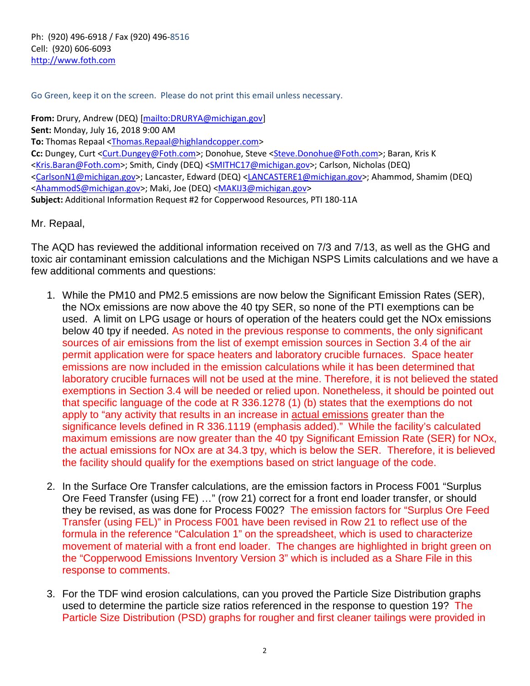Ph: (920) 496-6918 / Fax (920) 496-8516 Cell: (920) 606-6093 <http://www.foth.com>

Go Green, keep it on the screen. Please do not print this email unless necessary.

**From:** Drury, Andrew (DEQ) [\[mailto:DRURYA@michigan.gov\]](mailto:DRURYA@michigan.gov])  **Sent:** Monday, July 16, 2018 9:00 AM **To:** Thomas Repaal <[Thomas.Repaal@highlandcopper.com>](mailto:Thomas.Repaal@highlandcopper.com)  **Cc:** Dungey, Curt [<Curt.Dungey@Foth.com>; Do](mailto:Curt.Dungey@Foth.com)nohue, Steve [<Steve.Donohue@Foth.com>; Ba](mailto:Steve.Donohue@Foth.com)ran, Kris K <[Kris.Baran@Foth.com>; Sm](mailto:Kris.Baran@Foth.com)ith, Cindy (DEQ) <[SMITHC17@michigan.gov>; Ca](mailto:SMITHC17@michigan.gov)rlson, Nicholas (DEQ) <[CarlsonN1@michigan.gov>; La](mailto:CarlsonN1@michigan.gov)ncaster, Edward (DEQ) [<LANCASTERE1@michigan.gov>; Ah](mailto:LANCASTERE1@michigan.gov)ammod, Shamim (DEQ) <[AhammodS@michigan.gov>; M](mailto:AhammodS@michigan.gov)aki, Joe (DEQ) [<MAKIJ3@michigan.gov>](mailto:MAKIJ3@michigan.gov)  **Subject:** Additional Information Request #2 for Copperwood Resources, PTI 180-11A

Mr. Repaal,

The AQD has reviewed the additional information received on 7/3 and 7/13, as well as the GHG and toxic air contaminant emission calculations and the Michigan NSPS Limits calculations and we have a few additional comments and questions:

- 1. While the PM10 and PM2.5 emissions are now below the Significant Emission Rates (SER), the NOx emissions are now above the 40 tpy SER, so none of the PTI exemptions can be used. A limit on LPG usage or hours of operation of the heaters could get the NOx emissions below 40 tpy if needed. As noted in the previous response to comments, the only significant sources of air emissions from the list of exempt emission sources in Section 3.4 of the air permit application were for space heaters and laboratory crucible furnaces. Space heater emissions are now included in the emission calculations while it has been determined that laboratory crucible furnaces will not be used at the mine. Therefore, it is not believed the stated exemptions in Section 3.4 will be needed or relied upon. Nonetheless, it should be pointed out that specific language of the code at R 336.1278 (1) (b) states that the exemptions do not apply to "any activity that results in an increase in actual emissions greater than the significance levels defined in R 336.1119 (emphasis added)." While the facility's calculated maximum emissions are now greater than the 40 tpy Significant Emission Rate (SER) for NOx, the actual emissions for NOx are at 34.3 tpy, which is below the SER. Therefore, it is believed the facility should qualify for the exemptions based on strict language of the code.
- 2. In the Surface Ore Transfer calculations, are the emission factors in Process F001 "Surplus Ore Feed Transfer (using FE) …" (row 21) correct for a front end loader transfer, or should they be revised, as was done for Process F002? The emission factors for "Surplus Ore Feed Transfer (using FEL)" in Process F001 have been revised in Row 21 to reflect use of the formula in the reference "Calculation 1" on the spreadsheet, which is used to characterize movement of material with a front end loader. The changes are highlighted in bright green on the "Copperwood Emissions Inventory Version 3" which is included as a Share File in this response to comments.
- 3. For the TDF wind erosion calculations, can you proved the Particle Size Distribution graphs used to determine the particle size ratios referenced in the response to question 19? The Particle Size Distribution (PSD) graphs for rougher and first cleaner tailings were provided in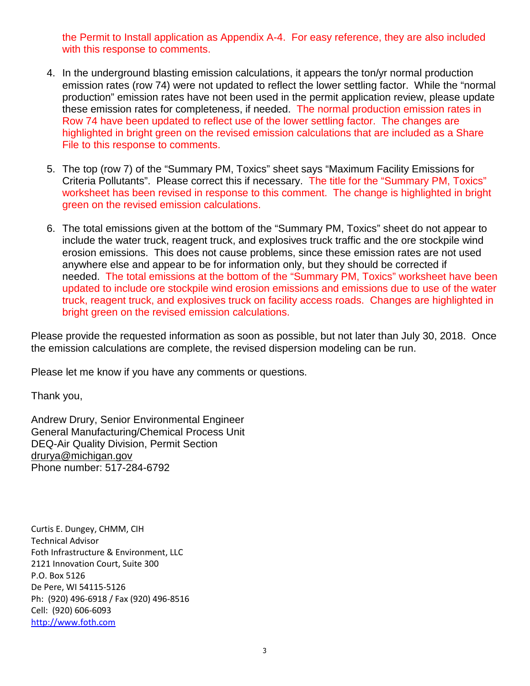the Permit to Install application as Appendix A-4. For easy reference, they are also included with this response to comments.

- 4. In the underground blasting emission calculations, it appears the ton/yr normal production emission rates (row 74) were not updated to reflect the lower settling factor. While the "normal production" emission rates have not been used in the permit application review, please update these emission rates for completeness, if needed. The normal production emission rates in Row 74 have been updated to reflect use of the lower settling factor. The changes are highlighted in bright green on the revised emission calculations that are included as a Share File to this response to comments.
- 5. The top (row 7) of the "Summary PM, Toxics" sheet says "Maximum Facility Emissions for Criteria Pollutants". Please correct this if necessary. The title for the "Summary PM, Toxics" worksheet has been revised in response to this comment. The change is highlighted in bright green on the revised emission calculations.
- 6. The total emissions given at the bottom of the "Summary PM, Toxics" sheet do not appear to include the water truck, reagent truck, and explosives truck traffic and the ore stockpile wind erosion emissions. This does not cause problems, since these emission rates are not used anywhere else and appear to be for information only, but they should be corrected if needed. The total emissions at the bottom of the "Summary PM, Toxics" worksheet have been updated to include ore stockpile wind erosion emissions and emissions due to use of the water truck, reagent truck, and explosives truck on facility access roads. Changes are highlighted in bright green on the revised emission calculations.

Please provide the requested information as soon as possible, but not later than July 30, 2018. Once the emission calculations are complete, the revised dispersion modeling can be run.

Please let me know if you have any comments or questions.

Thank you,

Andrew Drury, Senior Environmental Engineer General Manufacturing/Chemical Process Unit DEQ-Air Quality Division, Permit Section [drurya@michigan.gov](mailto:drurya@michigan.gov)  Phone number: 517-284-6792

Curtis E. Dungey, CHMM, CIH Technical Advisor Foth Infrastructure & Environment, LLC 2121 Innovation Court, Suite 300 P.O. Box 5126 De Pere, WI 54115-5126 Ph: (920) 496-6918 / Fax (920) 496-8516 Cell: (920) 606-6093 <http://www.foth.com>